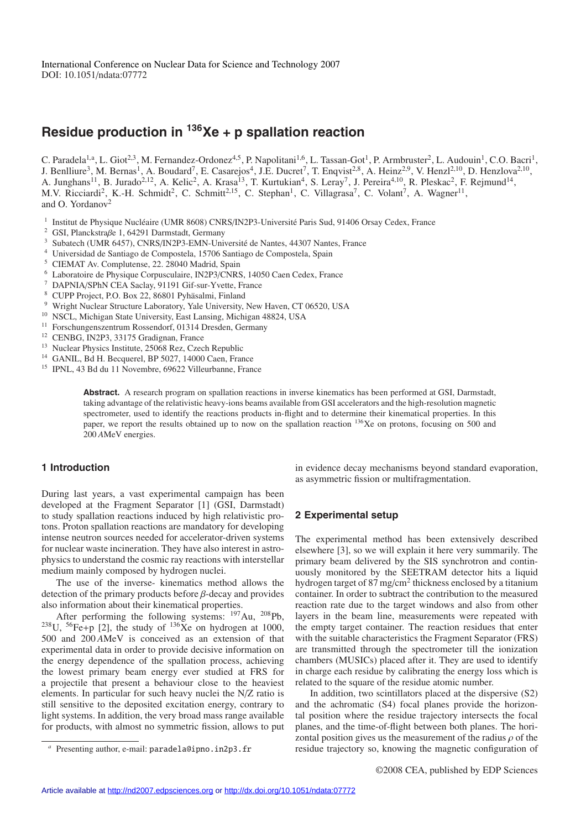# **Residue production in 136Xe + p spallation reaction**

C. Paradela<sup>1,a</sup>, L. Giot<sup>2,3</sup>, M. Fernandez-Ordonez<sup>4,5</sup>, P. Napolitani<sup>1,6</sup>, L. Tassan-Got<sup>1</sup>, P. Armbruster<sup>2</sup>, L. Audouin<sup>1</sup>, C.O. Bacri<sup>1</sup>, J. Benlliure<sup>3</sup>, M. Bernas<sup>1</sup>, A. Boudard<sup>7</sup>, E. Casarejos<sup>4</sup>, J.E. Ducret<sup>7</sup>, T. Enqvist<sup>2,8</sup>, A. Heinz<sup>2,9</sup>, V. Henzl<sup>2,10</sup>, D. Henzlova<sup>2,10</sup>, A. Junghans<sup>11</sup>, B. Jurado<sup>2,12</sup>, A. Kelic<sup>2</sup>, A. Krasa<sup>13</sup>, T. Kurtukian<sup>4</sup>, S. Leray<sup>7</sup>, J. Pereira<sup>4,10</sup>, R. Pleskac<sup>2</sup>, F. Rejmund<sup>14</sup>, M.V. Ricciardi<sup>2</sup>, K.-H. Schmidt<sup>2</sup>, C. Schmitt<sup>2,15</sup>, C. Stephan<sup>1</sup>, C. Villagrasa<sup>7</sup>, C. Volant<sup>7</sup>, A. Wagner<sup>11</sup>, and O. Yordanov<sup>2</sup>

- <sup>1</sup> Institut de Physique Nucléaire (UMR 8608) CNRS/IN2P3-Université Paris Sud, 91406 Orsay Cedex, France  $\frac{2}{5}$  GSL Planckstraße 1, 64201 Dermstadt, Germany
- <sup>2</sup> GSI, Planckstraße 1, 64291 Darmstadt, Germany
- Subatech (UMR 6457), CNRS/IN2P3-EMN-Université de Nantes, 44307 Nantes, France
- <sup>4</sup> Universidad de Santiago de Compostela, 15706 Santiago de Compostela, Spain
- <sup>5</sup> CIEMAT Av. Complutense, 22. 28040 Madrid, Spain
- <sup>6</sup> Laboratoire de Physique Corpusculaire, IN2P3/CNRS, 14050 Caen Cedex, France
- <sup>7</sup> DAPNIA/SPhN CEA Saclay, 91191 Gif-sur-Yvette, France
- <sup>8</sup> CUPP Project, P.O. Box 22, 86801 Pyhäsalmi, Finland  $\frac{9}{2}$  Wright Nuclear Structure Laboratory. Vala University
- <sup>9</sup> Wright Nuclear Structure Laboratory, Yale University, New Haven, CT 06520, USA
- <sup>10</sup> NSCL, Michigan State University, East Lansing, Michigan 48824, USA
- <sup>11</sup> Forschungenszentrum Rossendorf, 01314 Dresden, Germany
- <sup>12</sup> CENBG, IN2P3, 33175 Gradignan, France
- <sup>13</sup> Nuclear Physics Institute, 25068 Rez, Czech Republic
- <sup>14</sup> GANIL, Bd H. Becquerel, BP 5027, 14000 Caen, France
- <sup>15</sup> IPNL, 43 Bd du 11 Novembre, 69622 Villeurbanne, France

**Abstract.** A research program on spallation reactions in inverse kinematics has been performed at GSI, Darmstadt, taking advantage of the relativistic heavy-ions beams available from GSI accelerators and the high-resolution magnetic spectrometer, used to identify the reactions products in-flight and to determine their kinematical properties. In this paper, we report the results obtained up to now on the spallation reaction <sup>136</sup>Xe on protons, focusing on 500 and 200 *A*MeV energies.

## **1 Introduction**

During last years, a vast experimental campaign has been developed at the Fragment Separator [1] (GSI, Darmstadt) to study spallation reactions induced by high relativistic protons. Proton spallation reactions are mandatory for developing intense neutron sources needed for accelerator-driven systems for nuclear waste incineration. They have also interest in astrophysics to understand the cosmic ray reactions with interstellar medium mainly composed by hydrogen nuclei.

The use of the inverse- kinematics method allows the detection of the primary products before β-decay and provides also information about their kinematical properties.

After performing the following systems:  $^{197}$ Au,  $^{208}$ Pb, <sup>238</sup>U, <sup>56</sup>Fe+p [2], the study of <sup>136</sup>Xe on hydrogen at 1000, 500 and 200 *A*MeV is conceived as an extension of that experimental data in order to provide decisive information on the energy dependence of the spallation process, achieving the lowest primary beam energy ever studied at FRS for a projectile that present a behaviour close to the heaviest elements. In particular for such heavy nuclei the N/Z ratio is still sensitive to the deposited excitation energy, contrary to light systems. In addition, the very broad mass range available for products, with almost no symmetric fission, allows to put in evidence decay mechanisms beyond standard evaporation, as asymmetric fission or multifragmentation.

# **2 Experimental setup**

The experimental method has been extensively described elsewhere [3], so we will explain it here very summarily. The primary beam delivered by the SIS synchrotron and continuously monitored by the SEETRAM detector hits a liquid hydrogen target of 87 mg/cm<sup>2</sup> thickness enclosed by a titanium container. In order to subtract the contribution to the measured reaction rate due to the target windows and also from other layers in the beam line, measurements were repeated with the empty target container. The reaction residues that enter with the suitable characteristics the Fragment Separator (FRS) are transmitted through the spectrometer till the ionization chambers (MUSICs) placed after it. They are used to identify in charge each residue by calibrating the energy loss which is related to the square of the residue atomic number.

In addition, two scintillators placed at the dispersive (S2) and the achromatic (S4) focal planes provide the horizontal position where the residue trajectory intersects the focal planes, and the time-of-flight between both planes. The horizontal position gives us the measurement of the radius  $\rho$  of the residue trajectory so, knowing the magnetic configuration of

Presenting author, e-mail: paradela@ipno.in2p3.fr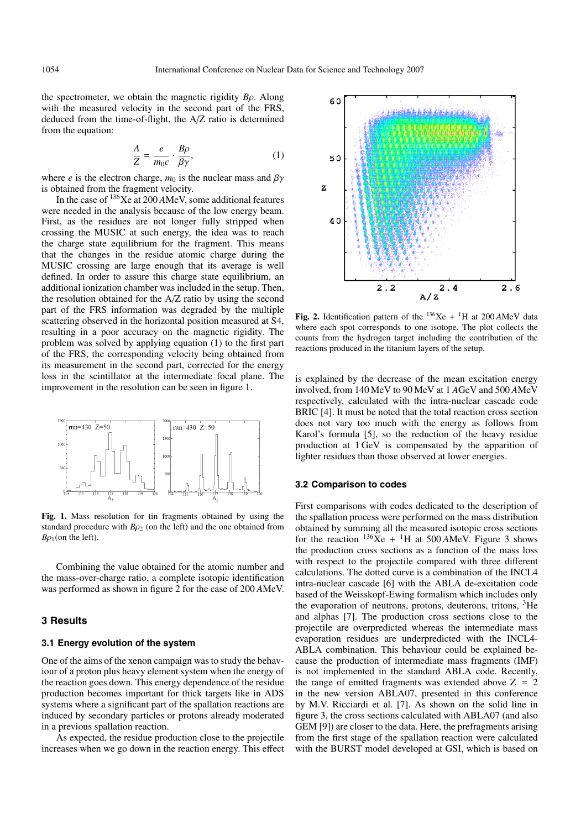the spectrometer, we obtain the magnetic rigidity *B*ρ. Along with the measured velocity in the second part of the FRS, deduced from the time-of-flight, the A/Z ratio is determined from the equation:

$$
\frac{A}{Z} = \frac{e}{m_0 c} \cdot \frac{B \rho}{\beta \gamma},\tag{1}
$$

where *e* is the electron charge,  $m_0$  is the nuclear mass and  $\beta\gamma$ is obtained from the fragment velocity.

In the case of 136Xe at 200 *A*MeV, some additional features were needed in the analysis because of the low energy beam. First, as the residues are not longer fully stripped when crossing the MUSIC at such energy, the idea was to reach the charge state equilibrium for the fragment. This means that the changes in the residue atomic charge during the MUSIC crossing are large enough that its average is well defined. In order to assure this charge state equilibrium, an additional ionization chamber was included in the setup. Then, the resolution obtained for the A/Z ratio by using the second part of the FRS information was degraded by the multiple scattering observed in the horizontal position measured at S4, resulting in a poor accuracy on the magnetic rigidity. The problem was solved by applying equation (1) to the first part of the FRS, the corresponding velocity being obtained from its measurement in the second part, corrected for the energy loss in the scintillator at the intermediate focal plane. The improvement in the resolution can be seen in figure 1.



**Fig. 1.** Mass resolution for tin fragments obtained by using the standard procedure with  $B\rho_2$  (on the left) and the one obtained from  $Bo<sub>1</sub>$ (on the left).

Combining the value obtained for the atomic number and the mass-over-charge ratio, a complete isotopic identification was performed as shown in figure 2 for the case of 200 *A*MeV.

# **3 Results**

### **3.1 Energy evolution of the system**

One of the aims of the xenon campaign was to study the behaviour of a proton plus heavy element system when the energy of the reaction goes down. This energy dependence of the residue production becomes important for thick targets like in ADS systems where a significant part of the spallation reactions are induced by secondary particles or protons already moderated in a previous spallation reaction.

As expected, the residue production close to the projectile increases when we go down in the reaction energy. This effect



**Fig. 2.** Identification pattern of the  $136Xe + 1H$  at  $200AMeV$  data where each spot corresponds to one isotope. The plot collects the counts from the hydrogen target including the contribution of the reactions produced in the titanium layers of the setup.

is explained by the decrease of the mean excitation energy involved, from 140 MeV to 90 MeV at 1 *A*GeV and 500 *A*MeV respectively, calculated with the intra-nuclear cascade code BRIC [4]. It must be noted that the total reaction cross section does not vary too much with the energy as follows from Karol's formula [5], so the reduction of the heavy residue production at 1 GeV is compensated by the apparition of lighter residues than those observed at lower energies.

#### **3.2 Comparison to codes**

First comparisons with codes dedicated to the description of the spallation process were performed on the mass distribution obtained by summing all the measured isotopic cross sections for the reaction  $136\bar{X}e + {}^{1}H$  at 500 *AMeV*. Figure 3 shows the production cross sections as a function of the mass loss with respect to the projectile compared with three different calculations. The dotted curve is a combination of the INCL4 intra-nuclear cascade [6] with the ABLA de-excitation code based of the Weisskopf-Ewing formalism which includes only the evaporation of neutrons, protons, deuterons, tritons, 3He and alphas [7]. The production cross sections close to the projectile are overpredicted whereas the intermediate mass evaporation residues are underpredicted with the INCL4- ABLA combination. This behaviour could be explained because the production of intermediate mass fragments (IMF) is not implemented in the standard ABLA code. Recently, the range of emitted fragments was extended above  $Z = 2$ in the new version ABLA07, presented in this conference by M.V. Ricciardi et al. [7]. As shown on the solid line in figure 3, the cross sections calculated with ABLA07 (and also GEM [9]) are closer to the data. Here, the prefragments arising from the first stage of the spallation reaction were calculated with the BURST model developed at GSI, which is based on